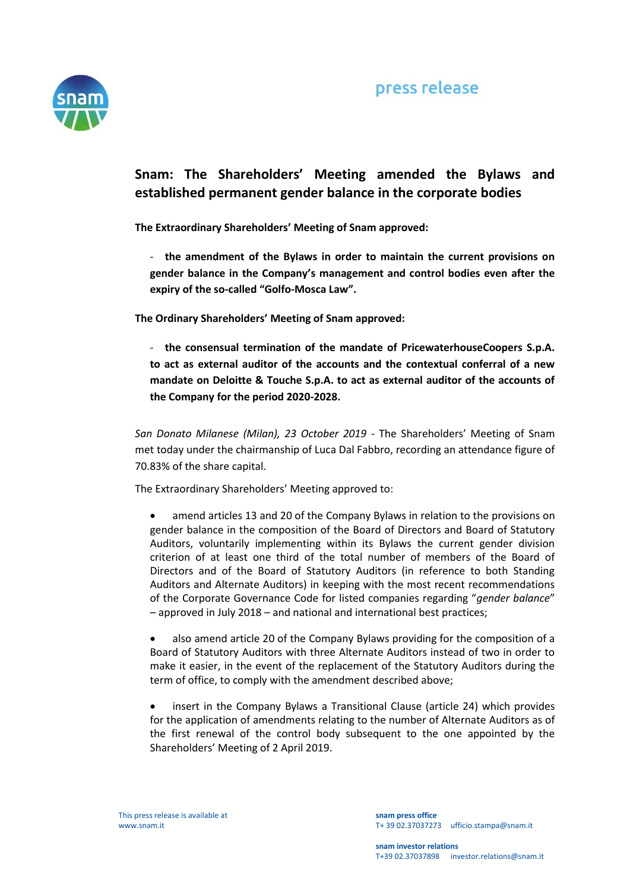

## **Snam: The Shareholders' Meeting amended the Bylaws and established permanent gender balance in the corporate bodies**

**The Extraordinary Shareholders' Meeting of Snam approved:**

- **the amendment of the Bylaws in order to maintain the current provisions on gender balance in the Company's management and control bodies even after the expiry of the so-called "Golfo-Mosca Law".**

**The Ordinary Shareholders' Meeting of Snam approved:**

- **the consensual termination of the mandate of PricewaterhouseCoopers S.p.A. to act as external auditor of the accounts and the contextual conferral of a new mandate on Deloitte & Touche S.p.A. to act as external auditor of the accounts of the Company for the period 2020-2028.** 

*San Donato Milanese (Milan), 23 October 2019* - The Shareholders' Meeting of Snam met today under the chairmanship of Luca Dal Fabbro, recording an attendance figure of 70.83% of the share capital.

The Extraordinary Shareholders' Meeting approved to:

- amend articles 13 and 20 of the Company Bylaws in relation to the provisions on gender balance in the composition of the Board of Directors and Board of Statutory Auditors, voluntarily implementing within its Bylaws the current gender division criterion of at least one third of the total number of members of the Board of Directors and of the Board of Statutory Auditors (in reference to both Standing Auditors and Alternate Auditors) in keeping with the most recent recommendations of the Corporate Governance Code for listed companies regarding "*gender balance*" – approved in July 2018 – and national and international best practices;
- also amend article 20 of the Company Bylaws providing for the composition of a Board of Statutory Auditors with three Alternate Auditors instead of two in order to make it easier, in the event of the replacement of the Statutory Auditors during the term of office, to comply with the amendment described above;
- insert in the Company Bylaws a Transitional Clause (article 24) which provides for the application of amendments relating to the number of Alternate Auditors as of the first renewal of the control body subsequent to the one appointed by the Shareholders' Meeting of 2 April 2019.